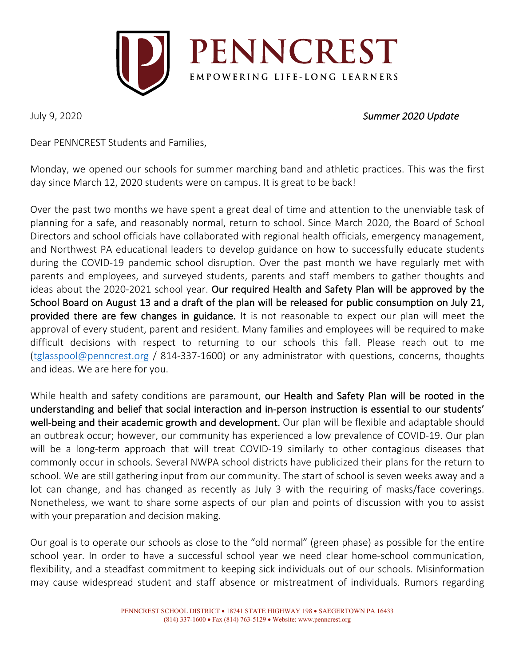

## July 9, 2020 *Summer 2020 Update*

Dear PENNCREST Students and Families,

Monday, we opened our schools for summer marching band and athletic practices. This was the first day since March 12, 2020 students were on campus. It is great to be back!

Over the past two months we have spent a great deal of time and attention to the unenviable task of planning for a safe, and reasonably normal, return to school. Since March 2020, the Board of School Directors and school officials have collaborated with regional health officials, emergency management, and Northwest PA educational leaders to develop guidance on how to successfully educate students during the COVID-19 pandemic school disruption. Over the past month we have regularly met with parents and employees, and surveyed students, parents and staff members to gather thoughts and ideas about the 2020-2021 school year. Our required Health and Safety Plan will be approved by the School Board on August 13 and a draft of the plan will be released for public consumption on July 21, provided there are few changes in guidance. It is not reasonable to expect our plan will meet the approval of every student, parent and resident. Many families and employees will be required to make difficult decisions with respect to returning to our schools this fall. Please reach out to me (tglasspool@penncrest.org / 814-337-1600) or any administrator with questions, concerns, thoughts and ideas. We are here for you.

While health and safety conditions are paramount, our Health and Safety Plan will be rooted in the understanding and belief that social interaction and in-person instruction is essential to our students' well-being and their academic growth and development. Our plan will be flexible and adaptable should an outbreak occur; however, our community has experienced a low prevalence of COVID-19. Our plan will be a long-term approach that will treat COVID-19 similarly to other contagious diseases that commonly occur in schools. Several NWPA school districts have publicized their plans for the return to school. We are still gathering input from our community. The start of school is seven weeks away and a lot can change, and has changed as recently as July 3 with the requiring of masks/face coverings. Nonetheless, we want to share some aspects of our plan and points of discussion with you to assist with your preparation and decision making.

Our goal is to operate our schools as close to the "old normal" (green phase) as possible for the entire school year. In order to have a successful school year we need clear home-school communication, flexibility, and a steadfast commitment to keeping sick individuals out of our schools. Misinformation may cause widespread student and staff absence or mistreatment of individuals. Rumors regarding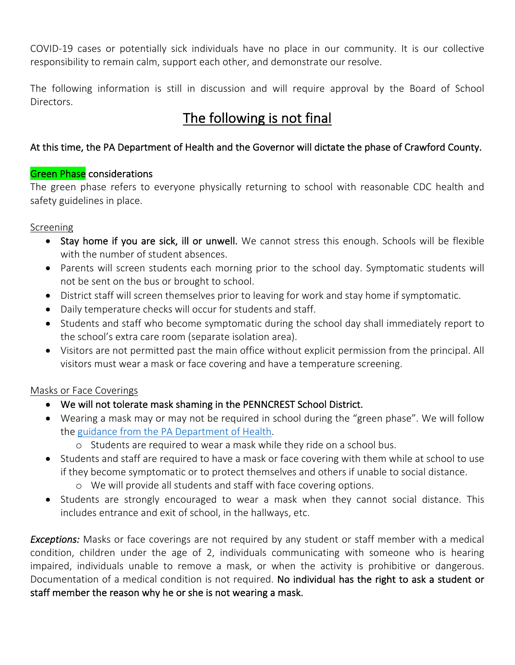COVID-19 cases or potentially sick individuals have no place in our community. It is our collective responsibility to remain calm, support each other, and demonstrate our resolve.

The following information is still in discussion and will require approval by the Board of School Directors.

# The following is not final

## At this time, the PA Department of Health and the Governor will dictate the phase of Crawford County.

## **Green Phase** considerations

The green phase refers to everyone physically returning to school with reasonable CDC health and safety guidelines in place.

### Screening

- Stay home if you are sick, ill or unwell. We cannot stress this enough. Schools will be flexible with the number of student absences.
- Parents will screen students each morning prior to the school day. Symptomatic students will not be sent on the bus or brought to school.
- District staff will screen themselves prior to leaving for work and stay home if symptomatic.
- Daily temperature checks will occur for students and staff.
- Students and staff who become symptomatic during the school day shall immediately report to the school's extra care room (separate isolation area).
- Visitors are not permitted past the main office without explicit permission from the principal. All visitors must wear a mask or face covering and have a temperature screening.

## Masks or Face Coverings

- We will not tolerate mask shaming in the PENNCREST School District.
- Wearing a mask may or may not be required in school during the "green phase". We will follow the guidance from the PA Department of Health.
	- o Students are required to wear a mask while they ride on a school bus.
- Students and staff are required to have a mask or face covering with them while at school to use if they become symptomatic or to protect themselves and others if unable to social distance.
	- o We will provide all students and staff with face covering options.
- Students are strongly encouraged to wear a mask when they cannot social distance. This includes entrance and exit of school, in the hallways, etc.

*Exceptions:* Masks or face coverings are not required by any student or staff member with a medical condition, children under the age of 2, individuals communicating with someone who is hearing impaired, individuals unable to remove a mask, or when the activity is prohibitive or dangerous. Documentation of a medical condition is not required. No individual has the right to ask a student or staff member the reason why he or she is not wearing a mask.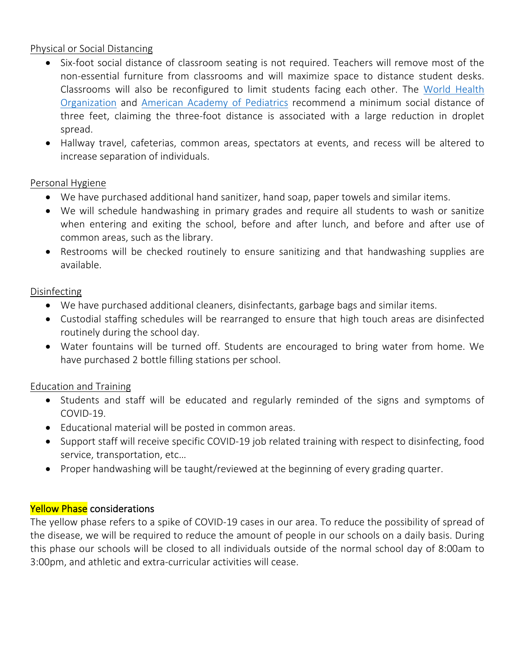#### Physical or Social Distancing

- Six-foot social distance of classroom seating is not required. Teachers will remove most of the non-essential furniture from classrooms and will maximize space to distance student desks. Classrooms will also be reconfigured to limit students facing each other. The World Health Organization and American Academy of Pediatrics recommend a minimum social distance of three feet, claiming the three-foot distance is associated with a large reduction in droplet spread.
- Hallway travel, cafeterias, common areas, spectators at events, and recess will be altered to increase separation of individuals.

### Personal Hygiene

- We have purchased additional hand sanitizer, hand soap, paper towels and similar items.
- We will schedule handwashing in primary grades and require all students to wash or sanitize when entering and exiting the school, before and after lunch, and before and after use of common areas, such as the library.
- Restrooms will be checked routinely to ensure sanitizing and that handwashing supplies are available.

#### Disinfecting

- We have purchased additional cleaners, disinfectants, garbage bags and similar items.
- Custodial staffing schedules will be rearranged to ensure that high touch areas are disinfected routinely during the school day.
- Water fountains will be turned off. Students are encouraged to bring water from home. We have purchased 2 bottle filling stations per school.

### Education and Training

- Students and staff will be educated and regularly reminded of the signs and symptoms of COVID-19.
- Educational material will be posted in common areas.
- Support staff will receive specific COVID-19 job related training with respect to disinfecting, food service, transportation, etc…
- Proper handwashing will be taught/reviewed at the beginning of every grading quarter.

### Yellow Phase considerations

The yellow phase refers to a spike of COVID-19 cases in our area. To reduce the possibility of spread of the disease, we will be required to reduce the amount of people in our schools on a daily basis. During this phase our schools will be closed to all individuals outside of the normal school day of 8:00am to 3:00pm, and athletic and extra-curricular activities will cease.